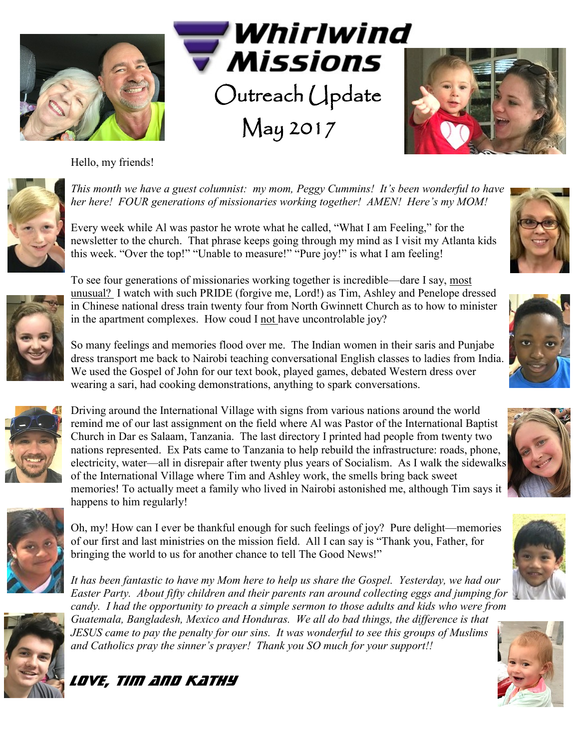





Hello, my friends!



*This month we have a guest columnist: my mom, Peggy Cummins! It's been wonderful to have her here! FOUR generations of missionaries working together! AMEN! Here's my MOM!*

Every week while Al was pastor he wrote what he called, "What I am Feeling," for the newsletter to the church. That phrase keeps going through my mind as I visit my Atlanta kids this week. "Over the top!" "Unable to measure!" "Pure joy!" is what I am feeling!



To see four generations of missionaries working together is incredible—dare I say, most unusual? I watch with such PRIDE (forgive me, Lord!) as Tim, Ashley and Penelope dressed in Chinese national dress train twenty four from North Gwinnett Church as to how to minister in the apartment complexes. How coud I not have uncontrolable joy?

So many feelings and memories flood over me. The Indian women in their saris and Punjabe dress transport me back to Nairobi teaching conversational English classes to ladies from India. We used the Gospel of John for our text book, played games, debated Western dress over wearing a sari, had cooking demonstrations, anything to spark conversations.



Driving around the International Village with signs from various nations around the world remind me of our last assignment on the field where Al was Pastor of the International Baptist Church in Dar es Salaam, Tanzania. The last directory I printed had people from twenty two nations represented. Ex Pats came to Tanzania to help rebuild the infrastructure: roads, phone, electricity, water—all in disrepair after twenty plus years of Socialism. As I walk the sidewalks of the International Village where Tim and Ashley work, the smells bring back sweet memories! To actually meet a family who lived in Nairobi astonished me, although Tim says it happens to him regularly!



Oh, my! How can I ever be thankful enough for such feelings of joy? Pure delight—memories of our first and last ministries on the mission field. All I can say is "Thank you, Father, for bringing the world to us for another chance to tell The Good News!"

*It has been fantastic to have my Mom here to help us share the Gospel. Yesterday, we had our Easter Party. About fifty children and their parents ran around collecting eggs and jumping for candy. I had the opportunity to preach a simple sermon to those adults and kids who were from Guatemala, Bangladesh, Mexico and Honduras. We all do bad things, the difference is that JESUS came to pay the penalty for our sins. It was wonderful to see this groups of Muslims and Catholics pray the sinner's prayer! Thank you SO much for your support!!*